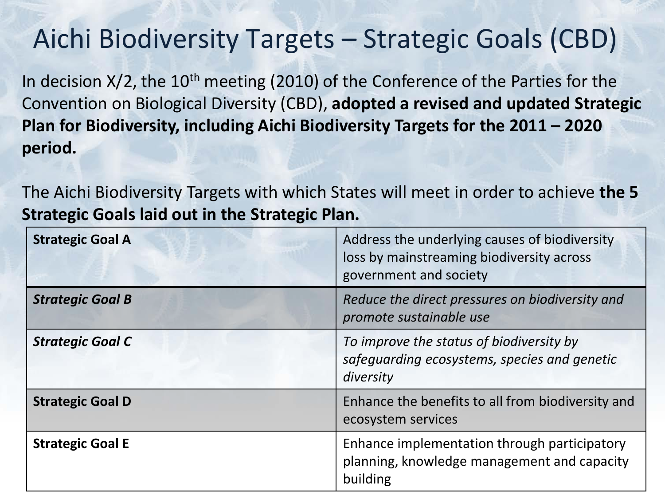### Aichi Biodiversity Targets – Strategic Goals (CBD)

In decision  $X/2$ , the  $10<sup>th</sup>$  meeting (2010) of the Conference of the Parties for the Convention on Biological Diversity (CBD), **adopted a revised and updated Strategic Plan for Biodiversity, including Aichi Biodiversity Targets for the 2011 – 2020 period.** 

The Aichi Biodiversity Targets with which States will meet in order to achieve **the 5 Strategic Goals laid out in the Strategic Plan.** 

| <b>Strategic Goal A</b> | Address the underlying causes of biodiversity<br>loss by mainstreaming biodiversity across<br>government and society |
|-------------------------|----------------------------------------------------------------------------------------------------------------------|
| <b>Strategic Goal B</b> | Reduce the direct pressures on biodiversity and<br>promote sustainable use                                           |
| <b>Strategic Goal C</b> | To improve the status of biodiversity by<br>safeguarding ecosystems, species and genetic<br>diversity                |
| <b>Strategic Goal D</b> | Enhance the benefits to all from biodiversity and<br>ecosystem services                                              |
| <b>Strategic Goal E</b> | Enhance implementation through participatory<br>planning, knowledge management and capacity<br>building              |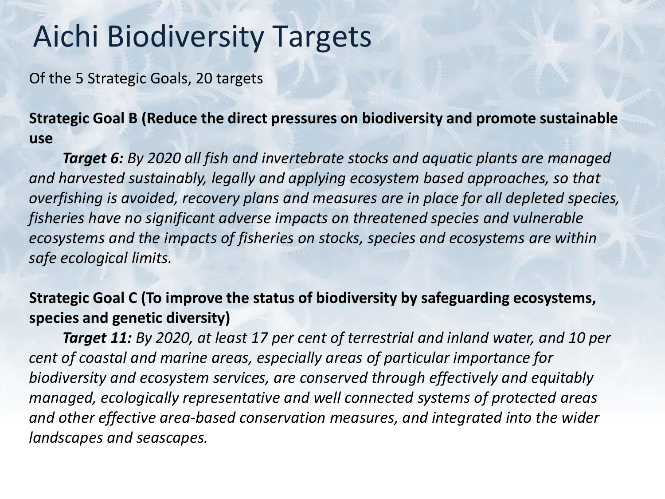### Aichi Biodiversity Targets

Of the 5 Strategic Goals, 20 targets

**Strategic Goal B (Reduce the direct pressures on biodiversity and promote sustainable use**

*Target 6: By 2020 all fish and invertebrate stocks and aquatic plants are managed and harvested sustainably, legally and applying ecosystem based approaches, so that overfishing is avoided, recovery plans and measures are in place for all depleted species, fisheries have no significant adverse impacts on threatened species and vulnerable ecosystems and the impacts of fisheries on stocks, species and ecosystems are within safe ecological limits.* 

**Strategic Goal C (To improve the status of biodiversity by safeguarding ecosystems, species and genetic diversity)**

*Target 11: By 2020, at least 17 per cent of terrestrial and inland water, and 10 per cent of coastal and marine areas, especially areas of particular importance for biodiversity and ecosystem services, are conserved through effectively and equitably managed, ecologically representative and well connected systems of protected areas and other effective area-based conservation measures, and integrated into the wider landscapes and seascapes.*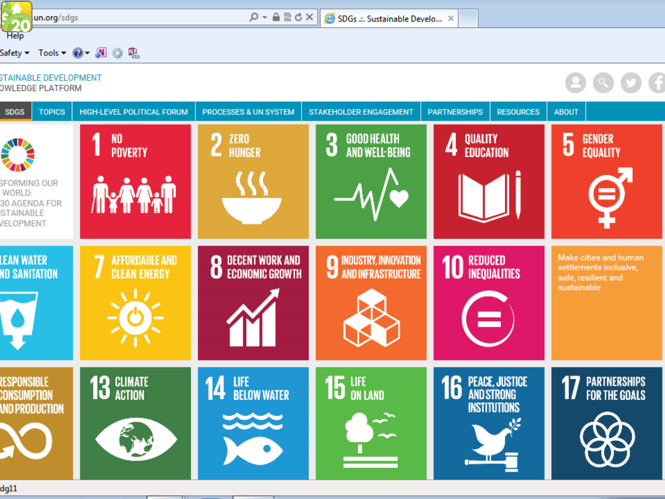

#### Safety  $\bullet$  Tools  $\bullet$   $\bullet$   $\bullet$   $\bullet$   $\bullet$   $\bullet$

#### **STAINABLE DEVELOPMENT OWLEDGE PLATFORM**

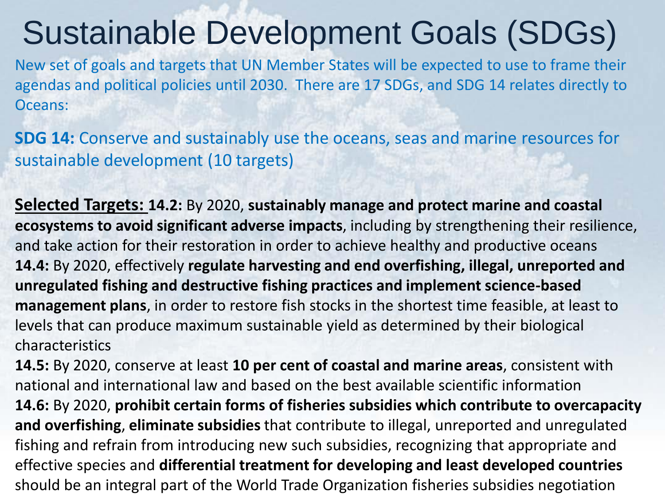## Sustainable Development Goals (SDGs)

New set of goals and targets that UN Member States will be expected to use to frame their agendas and political policies until 2030. There are 17 SDGs, and SDG 14 relates directly to Oceans:

**SDG 14:** Conserve and sustainably use the oceans, seas and marine resources for sustainable development (10 targets)

**Selected Targets: 14.2:** By 2020, **sustainably manage and protect marine and coastal ecosystems to avoid significant adverse impacts**, including by strengthening their resilience, and take action for their restoration in order to achieve healthy and productive oceans **14.4:** By 2020, effectively **regulate harvesting and end overfishing, illegal, unreported and unregulated fishing and destructive fishing practices and implement science-based management plans**, in order to restore fish stocks in the shortest time feasible, at least to levels that can produce maximum sustainable yield as determined by their biological characteristics

**14.5:** By 2020, conserve at least **10 per cent of coastal and marine areas**, consistent with national and international law and based on the best available scientific information **14.6:** By 2020, **prohibit certain forms of fisheries subsidies which contribute to overcapacity and overfishing**, **eliminate subsidies** that contribute to illegal, unreported and unregulated fishing and refrain from introducing new such subsidies, recognizing that appropriate and effective species and **differential treatment for developing and least developed countries**  should be an integral part of the World Trade Organization fisheries subsidies negotiation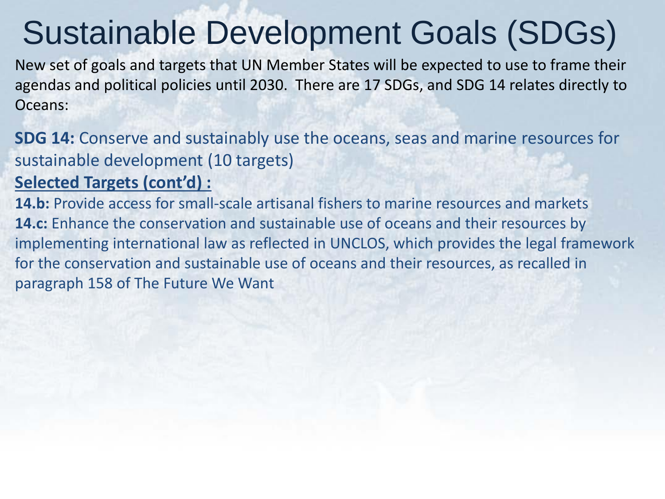# Sustainable Development Goals (SDGs)

New set of goals and targets that UN Member States will be expected to use to frame their agendas and political policies until 2030. There are 17 SDGs, and SDG 14 relates directly to Oceans:

**SDG 14:** Conserve and sustainably use the oceans, seas and marine resources for sustainable development (10 targets)

#### **Selected Targets (cont'd) :**

**14.b:** Provide access for small-scale artisanal fishers to marine resources and markets **14.c:** Enhance the conservation and sustainable use of oceans and their resources by implementing international law as reflected in UNCLOS, which provides the legal framework for the conservation and sustainable use of oceans and their resources, as recalled in paragraph 158 of The Future We Want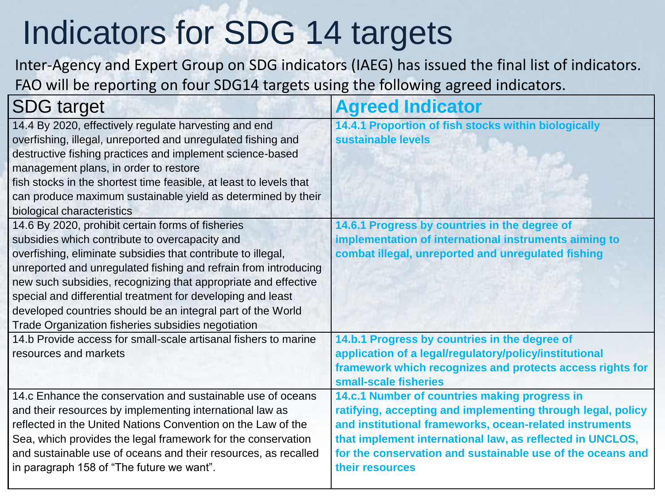# Indicators for SDG 14 targets

Inter-Agency and Expert Group on SDG indicators (IAEG) has issued the final list of indicators. FAO will be reporting on four SDG14 targets using the following agreed indicators.

| <b>SDG</b> target                                                                                                                                                                                                                                                                                                                                                                                                                                                                                                          | <b>Agreed Indicator</b>                                                                                                                                                                                                                                                                                               |
|----------------------------------------------------------------------------------------------------------------------------------------------------------------------------------------------------------------------------------------------------------------------------------------------------------------------------------------------------------------------------------------------------------------------------------------------------------------------------------------------------------------------------|-----------------------------------------------------------------------------------------------------------------------------------------------------------------------------------------------------------------------------------------------------------------------------------------------------------------------|
| 14.4 By 2020, effectively regulate harvesting and end<br>overfishing, illegal, unreported and unregulated fishing and<br>destructive fishing practices and implement science-based<br>management plans, in order to restore<br>fish stocks in the shortest time feasible, at least to levels that<br>can produce maximum sustainable yield as determined by their                                                                                                                                                          | 14.4.1 Proportion of fish stocks within biologically<br>sustainable levels                                                                                                                                                                                                                                            |
| biological characteristics<br>14.6 By 2020, prohibit certain forms of fisheries<br>subsidies which contribute to overcapacity and<br>overfishing, eliminate subsidies that contribute to illegal,<br>unreported and unregulated fishing and refrain from introducing<br>new such subsidies, recognizing that appropriate and effective<br>special and differential treatment for developing and least<br>developed countries should be an integral part of the World<br>Trade Organization fisheries subsidies negotiation | 14.6.1 Progress by countries in the degree of<br>implementation of international instruments aiming to<br>combat illegal, unreported and unregulated fishing                                                                                                                                                          |
| 14.b Provide access for small-scale artisanal fishers to marine<br>resources and markets                                                                                                                                                                                                                                                                                                                                                                                                                                   | 14.b.1 Progress by countries in the degree of<br>application of a legal/regulatory/policy/institutional<br>framework which recognizes and protects access rights for<br>small-scale fisheries                                                                                                                         |
| 14.c Enhance the conservation and sustainable use of oceans<br>and their resources by implementing international law as<br>reflected in the United Nations Convention on the Law of the<br>Sea, which provides the legal framework for the conservation<br>and sustainable use of oceans and their resources, as recalled<br>in paragraph 158 of "The future we want".                                                                                                                                                     | 14.c.1 Number of countries making progress in<br>ratifying, accepting and implementing through legal, policy<br>and institutional frameworks, ocean-related instruments<br>that implement international law, as reflected in UNCLOS,<br>for the conservation and sustainable use of the oceans and<br>their resources |